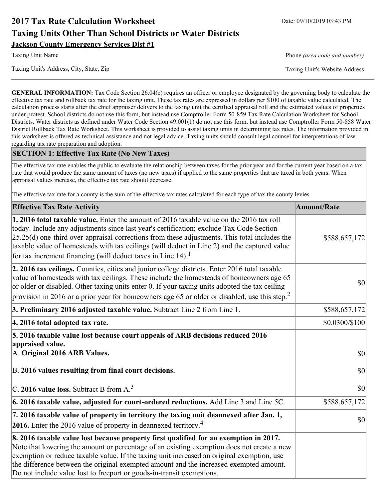# **2017 Tax Rate Calculation Worksheet** Date: 09/10/2019 03:43 PM **Taxing Units Other Than School Districts or Water Districts Jackson County Emergency Services Dist #1**

Taxing Unit's Address, City, State, Zip Taxing Unit's Website Address

Taxing Unit Name **Phone** *(area code and number)* Phone *(area code and number)* 

**GENERAL INFORMATION:** Tax Code Section 26.04(c) requires an officer or employee designated by the governing body to calculate the effective tax rate and rollback tax rate for the taxing unit. These tax rates are expressed in dollars per \$100 of taxable value calculated. The calculation process starts after the chief appraiser delivers to the taxing unit the certified appraisal roll and the estimated values of properties under protest. School districts do not use this form, but instead use Comptroller Form 50-859 Tax Rate Calculation Worksheet for School Districts. Water districts as defined under Water Code Section 49.001(1) do not use this form, but instead use Comptroller Form 50-858 Water District Rollback Tax Rate Worksheet. This worksheet is provided to assist taxing units in determining tax rates. The information provided in this worksheet is offered as technical assistance and not legal advice. Taxing units should consult legal counsel for interpretations of law regarding tax rate preparation and adoption.

### **SECTION 1: Effective Tax Rate (No New Taxes)**

The effective tax rate enables the public to evaluate the relationship between taxes for the prior year and for the current year based on a tax rate that would produce the same amount of taxes (no new taxes) if applied to the same properties that are taxed in both years. When appraisal values increase, the effective tax rate should decrease.

The effective tax rate for a county is the sum of the effective tax rates calculated for each type of tax the county levies.

| <b>Effective Tax Rate Activity</b>                                                                                                                                                                                                                                                                                                                                                                                                                                      | <b>Amount/Rate</b> |
|-------------------------------------------------------------------------------------------------------------------------------------------------------------------------------------------------------------------------------------------------------------------------------------------------------------------------------------------------------------------------------------------------------------------------------------------------------------------------|--------------------|
| 1. 2016 total taxable value. Enter the amount of 2016 taxable value on the 2016 tax roll<br>today. Include any adjustments since last year's certification; exclude Tax Code Section<br>$[25.25(d)$ one-third over-appraisal corrections from these adjustments. This total includes the<br>taxable value of homesteads with tax ceilings (will deduct in Line 2) and the captured value<br>for tax increment financing (will deduct taxes in Line $14$ ). <sup>1</sup> | \$588,657,172      |
| 2. 2016 tax ceilings. Counties, cities and junior college districts. Enter 2016 total taxable<br>value of homesteads with tax ceilings. These include the homesteads of homeowners age 65<br>or older or disabled. Other taxing units enter 0. If your taxing units adopted the tax ceiling<br>provision in 2016 or a prior year for homeowners age 65 or older or disabled, use this step. <sup>2</sup>                                                                | 30                 |
| 3. Preliminary 2016 adjusted taxable value. Subtract Line 2 from Line 1.                                                                                                                                                                                                                                                                                                                                                                                                | \$588,657,172      |
| 4. 2016 total adopted tax rate.                                                                                                                                                                                                                                                                                                                                                                                                                                         | \$0.0300/\$100     |
| 5. 2016 taxable value lost because court appeals of ARB decisions reduced 2016<br>appraised value.<br>A. Original 2016 ARB Values.                                                                                                                                                                                                                                                                                                                                      | $ 10\rangle$       |
| B. 2016 values resulting from final court decisions.                                                                                                                                                                                                                                                                                                                                                                                                                    | 30                 |
| C. 2016 value loss. Subtract B from $A3$                                                                                                                                                                                                                                                                                                                                                                                                                                | 30                 |
| 6. 2016 taxable value, adjusted for court-ordered reductions. Add Line 3 and Line 5C.                                                                                                                                                                                                                                                                                                                                                                                   | \$588,657,172      |
| 7. 2016 taxable value of property in territory the taxing unit deannexed after Jan. 1,<br><b>2016.</b> Enter the 2016 value of property in deannexed territory. <sup>4</sup>                                                                                                                                                                                                                                                                                            | $ 10\rangle$       |
| 8. 2016 taxable value lost because property first qualified for an exemption in 2017.<br>Note that lowering the amount or percentage of an existing exemption does not create a new<br>exemption or reduce taxable value. If the taxing unit increased an original exemption, use<br>the difference between the original exempted amount and the increased exempted amount.<br>Do not include value lost to freeport or goods-in-transit exemptions.                    |                    |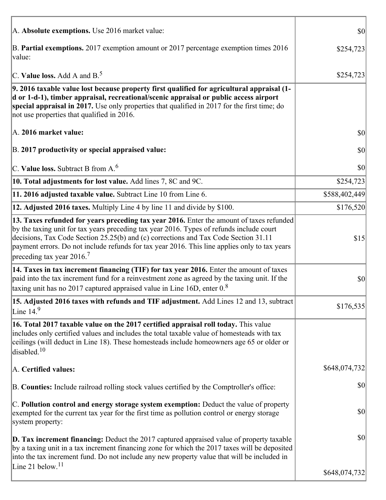| A. Absolute exemptions. Use 2016 market value:                                                                                                                                                                                                                                                                                                                                                                         | $ 10\rangle$  |
|------------------------------------------------------------------------------------------------------------------------------------------------------------------------------------------------------------------------------------------------------------------------------------------------------------------------------------------------------------------------------------------------------------------------|---------------|
| B. Partial exemptions. 2017 exemption amount or 2017 percentage exemption times 2016<br>value:                                                                                                                                                                                                                                                                                                                         | \$254,723     |
| C. Value loss. Add A and $B^5$                                                                                                                                                                                                                                                                                                                                                                                         | \$254,723     |
| 9. 2016 taxable value lost because property first qualified for agricultural appraisal (1-<br>d or 1-d-1), timber appraisal, recreational/scenic appraisal or public access airport<br>special appraisal in 2017. Use only properties that qualified in 2017 for the first time; do<br>not use properties that qualified in 2016.                                                                                      |               |
| A. 2016 market value:                                                                                                                                                                                                                                                                                                                                                                                                  | \$0           |
| B. 2017 productivity or special appraised value:                                                                                                                                                                                                                                                                                                                                                                       | 30            |
| C. Value loss. Subtract B from $A6$                                                                                                                                                                                                                                                                                                                                                                                    | \$0           |
| 10. Total adjustments for lost value. Add lines 7, 8C and 9C.                                                                                                                                                                                                                                                                                                                                                          | \$254,723     |
| 11. 2016 adjusted taxable value. Subtract Line 10 from Line 6.                                                                                                                                                                                                                                                                                                                                                         | \$588,402,449 |
| 12. Adjusted 2016 taxes. Multiply Line 4 by line 11 and divide by \$100.                                                                                                                                                                                                                                                                                                                                               | \$176,520     |
| 13. Taxes refunded for years preceding tax year 2016. Enter the amount of taxes refunded<br>by the taxing unit for tax years preceding tax year 2016. Types of refunds include court<br>decisions, Tax Code Section 25.25(b) and (c) corrections and Tax Code Section 31.11<br>payment errors. Do not include refunds for tax year 2016. This line applies only to tax years<br>preceding tax year $2016$ <sup>7</sup> | \$15          |
| 14. Taxes in tax increment financing (TIF) for tax year 2016. Enter the amount of taxes<br>paid into the tax increment fund for a reinvestment zone as agreed by the taxing unit. If the<br>taxing unit has no 2017 captured appraised value in Line 16D, enter 0.8                                                                                                                                                    | \$0           |
| 15. Adjusted 2016 taxes with refunds and TIF adjustment. Add Lines 12 and 13, subtract<br>Line $149$                                                                                                                                                                                                                                                                                                                   | \$176,535     |
| 16. Total 2017 taxable value on the 2017 certified appraisal roll today. This value<br>includes only certified values and includes the total taxable value of homesteads with tax<br>ceilings (will deduct in Line 18). These homesteads include homeowners age 65 or older or<br>disabled. $10$                                                                                                                       |               |
| A. Certified values:                                                                                                                                                                                                                                                                                                                                                                                                   | \$648,074,732 |
| B. Counties: Include railroad rolling stock values certified by the Comptroller's office:                                                                                                                                                                                                                                                                                                                              | \$0           |
| C. Pollution control and energy storage system exemption: Deduct the value of property<br>exempted for the current tax year for the first time as pollution control or energy storage<br>system property:                                                                                                                                                                                                              | \$0           |
| <b>D. Tax increment financing:</b> Deduct the 2017 captured appraised value of property taxable<br>by a taxing unit in a tax increment financing zone for which the 2017 taxes will be deposited<br>into the tax increment fund. Do not include any new property value that will be included in                                                                                                                        | \$0           |
| Line 21 below. <sup>11</sup>                                                                                                                                                                                                                                                                                                                                                                                           | \$648,074,732 |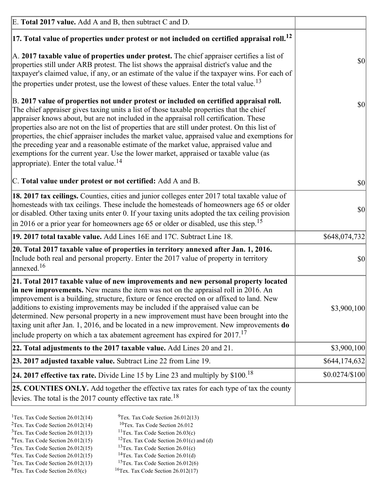| E. Total 2017 value. Add A and B, then subtract C and D.                                                                                                                                                                                                                                                                                                                                                                                                                                                                                                                                                                                                                                                                 |                |
|--------------------------------------------------------------------------------------------------------------------------------------------------------------------------------------------------------------------------------------------------------------------------------------------------------------------------------------------------------------------------------------------------------------------------------------------------------------------------------------------------------------------------------------------------------------------------------------------------------------------------------------------------------------------------------------------------------------------------|----------------|
| $ 17$ . Total value of properties under protest or not included on certified appraisal roll. <sup>12</sup>                                                                                                                                                                                                                                                                                                                                                                                                                                                                                                                                                                                                               |                |
| A. 2017 taxable value of properties under protest. The chief appraiser certifies a list of<br>properties still under ARB protest. The list shows the appraisal district's value and the<br>taxpayer's claimed value, if any, or an estimate of the value if the taxpayer wins. For each of<br>the properties under protest, use the lowest of these values. Enter the total value. <sup>13</sup>                                                                                                                                                                                                                                                                                                                         | \$0            |
| B. 2017 value of properties not under protest or included on certified appraisal roll.<br>The chief appraiser gives taxing units a list of those taxable properties that the chief<br>appraiser knows about, but are not included in the appraisal roll certification. These<br>properties also are not on the list of properties that are still under protest. On this list of<br>properties, the chief appraiser includes the market value, appraised value and exemptions for<br>the preceding year and a reasonable estimate of the market value, appraised value and<br>exemptions for the current year. Use the lower market, appraised or taxable value (as<br>appropriate). Enter the total value. <sup>14</sup> | \$0            |
| C. Total value under protest or not certified: Add A and B.                                                                                                                                                                                                                                                                                                                                                                                                                                                                                                                                                                                                                                                              | \$0            |
| 18. 2017 tax ceilings. Counties, cities and junior colleges enter 2017 total taxable value of<br>homesteads with tax ceilings. These include the homesteads of homeowners age 65 or older<br>or disabled. Other taxing units enter 0. If your taxing units adopted the tax ceiling provision<br>$\vert$ in 2016 or a prior year for homeowners age 65 or older or disabled, use this step. <sup>15</sup>                                                                                                                                                                                                                                                                                                                 | \$0            |
| 19. 2017 total taxable value. Add Lines 16E and 17C. Subtract Line 18.                                                                                                                                                                                                                                                                                                                                                                                                                                                                                                                                                                                                                                                   | \$648,074,732  |
| 20. Total 2017 taxable value of properties in territory annexed after Jan. 1, 2016.<br>Include both real and personal property. Enter the 2017 value of property in territory<br>$\text{anne}$ xed. <sup>16</sup>                                                                                                                                                                                                                                                                                                                                                                                                                                                                                                        | $ 10\rangle$   |
| 21. Total 2017 taxable value of new improvements and new personal property located<br>in new improvements. New means the item was not on the appraisal roll in 2016. An<br>improvement is a building, structure, fixture or fence erected on or affixed to land. New<br>additions to existing improvements may be included if the appraised value can be<br>determined. New personal property in a new improvement must have been brought into the<br>taxing unit after Jan. 1, 2016, and be located in a new improvement. New improvements <b>do</b><br>include property on which a tax abatement agreement has expired for $2017$ . <sup>17</sup>                                                                      | \$3,900,100    |
| 22. Total adjustments to the 2017 taxable value. Add Lines 20 and 21.                                                                                                                                                                                                                                                                                                                                                                                                                                                                                                                                                                                                                                                    | \$3,900,100    |
| 23. 2017 adjusted taxable value. Subtract Line 22 from Line 19.                                                                                                                                                                                                                                                                                                                                                                                                                                                                                                                                                                                                                                                          | \$644,174,632  |
| 24. 2017 effective tax rate. Divide Line 15 by Line 23 and multiply by $$100$ . <sup>18</sup>                                                                                                                                                                                                                                                                                                                                                                                                                                                                                                                                                                                                                            | \$0.0274/\$100 |
| <b>25. COUNTIES ONLY.</b> Add together the effective tax rates for each type of tax the county<br>levies. The total is the 2017 county effective tax rate. <sup>18</sup>                                                                                                                                                                                                                                                                                                                                                                                                                                                                                                                                                 |                |

- <sup>2</sup>Tex. Tax Code Section 26.012(14)
- <sup>1</sup>Tex. Tax Code Section 26.012(14) <sup>9</sup>Tex. Tax Code Section 26.012(13) <sup>9</sup>Tex. Tax Code Section 26.012
	-
- <sup>3</sup>Tex. Tax Code Section 26.012(13) <sup>11</sup>Tex. Tax Code Section 26.03(c) <sup>4</sup>Tex. Tax Code Section 26.01(c) and <sup>12</sup>Tex. Tax Code Section 26.01(c) and <sup>12</sup>Tex. Tax Code Section 26.01(c) and <sup>12</sup>Tex. Tax Code Section 26.01(c) <sup>12</sup>Tex. Tax Code Section 26.01(c) and (d)
	-
- 
- <sup>5</sup>Tex. Tax Code Section 26.012(15) <sup>13</sup>Tex. Tax Code Section 26.01(c) <sup>6</sup>Tex. Tax Code Section 26.01(d)
- <sup>6</sup>Tex. Tax Code Section 26.012(15) <sup>14</sup>Tex. Tax Code Section 26.01(d)<sup>7</sup>Tex. Tax Code Section 26.012(6)
- $7$ Tex. Tax Code Section 26.012(13)
- 
- ${}^{8}$ Tex. Tax Code Section 26.03(c)  ${}^{16}$ Tex. Tax Code Section 26.012(17)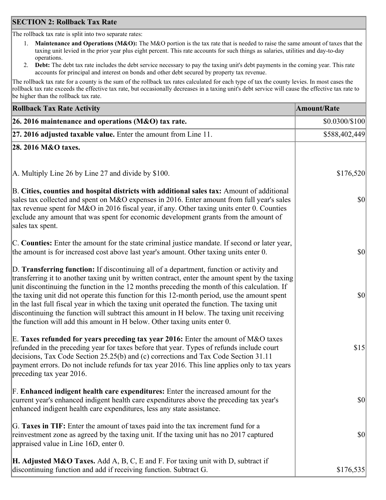### **SECTION 2: Rollback Tax Rate**

The rollback tax rate is split into two separate rates:

- 1. **Maintenance and Operations (M&O):** The M&O portion is the tax rate that is needed to raise the same amount of taxes that the taxing unit levied in the prior year plus eight percent. This rate accounts for such things as salaries, utilities and day-to-day operations.
- 2. **Debt:** The debt tax rate includes the debt service necessary to pay the taxing unit's debt payments in the coming year. This rate accounts for principal and interest on bonds and other debt secured by property tax revenue.

The rollback tax rate for a county is the sum of the rollback tax rates calculated for each type of tax the county levies. In most cases the rollback tax rate exceeds the effective tax rate, but occasionally decreases in a taxing unit's debt service will cause the effective tax rate to be higher than the rollback tax rate.

| <b>Rollback Tax Rate Activity</b>                                                                                                                                                                                                                                                                                                                                                                                                                                                                                                                                                                                                                                       | <b>Amount/Rate</b> |
|-------------------------------------------------------------------------------------------------------------------------------------------------------------------------------------------------------------------------------------------------------------------------------------------------------------------------------------------------------------------------------------------------------------------------------------------------------------------------------------------------------------------------------------------------------------------------------------------------------------------------------------------------------------------------|--------------------|
| 26. 2016 maintenance and operations (M&O) tax rate.                                                                                                                                                                                                                                                                                                                                                                                                                                                                                                                                                                                                                     | \$0.0300/\$100     |
| $ 27.2016$ adjusted taxable value. Enter the amount from Line 11.                                                                                                                                                                                                                                                                                                                                                                                                                                                                                                                                                                                                       | \$588,402,449      |
| 28. 2016 M&O taxes.                                                                                                                                                                                                                                                                                                                                                                                                                                                                                                                                                                                                                                                     |                    |
|                                                                                                                                                                                                                                                                                                                                                                                                                                                                                                                                                                                                                                                                         |                    |
| A. Multiply Line 26 by Line 27 and divide by \$100.                                                                                                                                                                                                                                                                                                                                                                                                                                                                                                                                                                                                                     | \$176,520          |
| B. Cities, counties and hospital districts with additional sales tax: Amount of additional<br>sales tax collected and spent on M&O expenses in 2016. Enter amount from full year's sales<br>tax revenue spent for M&O in 2016 fiscal year, if any. Other taxing units enter 0. Counties<br>exclude any amount that was spent for economic development grants from the amount of<br>sales tax spent.                                                                                                                                                                                                                                                                     | 30                 |
| C. Counties: Enter the amount for the state criminal justice mandate. If second or later year,<br>the amount is for increased cost above last year's amount. Other taxing units enter 0.                                                                                                                                                                                                                                                                                                                                                                                                                                                                                | \$0                |
| D. Transferring function: If discontinuing all of a department, function or activity and<br>transferring it to another taxing unit by written contract, enter the amount spent by the taxing<br>unit discontinuing the function in the 12 months preceding the month of this calculation. If<br>the taxing unit did not operate this function for this 12-month period, use the amount spent<br>in the last full fiscal year in which the taxing unit operated the function. The taxing unit<br>discontinuing the function will subtract this amount in H below. The taxing unit receiving<br>the function will add this amount in H below. Other taxing units enter 0. | \$0                |
| E. Taxes refunded for years preceding tax year 2016: Enter the amount of M&O taxes<br>refunded in the preceding year for taxes before that year. Types of refunds include court<br>decisions, Tax Code Section 25.25(b) and (c) corrections and Tax Code Section 31.11<br>payment errors. Do not include refunds for tax year 2016. This line applies only to tax years<br>preceding tax year 2016.                                                                                                                                                                                                                                                                     | \$15               |
| F. Enhanced indigent health care expenditures: Enter the increased amount for the<br>current year's enhanced indigent health care expenditures above the preceding tax year's<br>enhanced indigent health care expenditures, less any state assistance.                                                                                                                                                                                                                                                                                                                                                                                                                 | $ 10\rangle$       |
| G. Taxes in TIF: Enter the amount of taxes paid into the tax increment fund for a<br>reinvestment zone as agreed by the taxing unit. If the taxing unit has no 2017 captured<br>appraised value in Line 16D, enter 0.                                                                                                                                                                                                                                                                                                                                                                                                                                                   | \$0                |
| <b>H. Adjusted M&amp;O Taxes.</b> Add A, B, C, E and F. For taxing unit with D, subtract if<br>discontinuing function and add if receiving function. Subtract G.                                                                                                                                                                                                                                                                                                                                                                                                                                                                                                        | \$176,535          |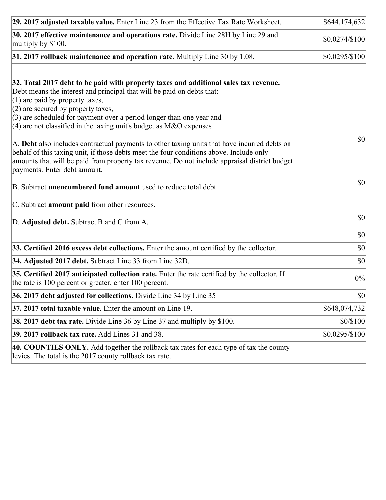| 29. 2017 adjusted taxable value. Enter Line 23 from the Effective Tax Rate Worksheet.                                                                                                                                                                                                                                                                                                                                                                                                                                                                                                    | \$644,174,632   |
|------------------------------------------------------------------------------------------------------------------------------------------------------------------------------------------------------------------------------------------------------------------------------------------------------------------------------------------------------------------------------------------------------------------------------------------------------------------------------------------------------------------------------------------------------------------------------------------|-----------------|
| 30. 2017 effective maintenance and operations rate. Divide Line 28H by Line 29 and<br>multiply by \$100.                                                                                                                                                                                                                                                                                                                                                                                                                                                                                 | \$0.0274/\$100  |
| $31.2017$ rollback maintenance and operation rate. Multiply Line 30 by 1.08.                                                                                                                                                                                                                                                                                                                                                                                                                                                                                                             | $$0.0295/\$100$ |
| 32. Total 2017 debt to be paid with property taxes and additional sales tax revenue.<br>Debt means the interest and principal that will be paid on debts that:<br>$(1)$ are paid by property taxes,<br>$(2)$ are secured by property taxes,<br>$(3)$ are scheduled for payment over a period longer than one year and<br>(4) are not classified in the taxing unit's budget as $M&O$ expenses<br>A. Debt also includes contractual payments to other taxing units that have incurred debts on<br>behalf of this taxing unit, if those debts meet the four conditions above. Include only | 30              |
| amounts that will be paid from property tax revenue. Do not include appraisal district budget<br>payments. Enter debt amount.                                                                                                                                                                                                                                                                                                                                                                                                                                                            |                 |
| B. Subtract unencumbered fund amount used to reduce total debt.                                                                                                                                                                                                                                                                                                                                                                                                                                                                                                                          | \$0             |
| C. Subtract amount paid from other resources.                                                                                                                                                                                                                                                                                                                                                                                                                                                                                                                                            |                 |
| D. Adjusted debt. Subtract B and C from A.                                                                                                                                                                                                                                                                                                                                                                                                                                                                                                                                               | $ 10\rangle$    |
|                                                                                                                                                                                                                                                                                                                                                                                                                                                                                                                                                                                          | $ 10\rangle$    |
| 33. Certified 2016 excess debt collections. Enter the amount certified by the collector.                                                                                                                                                                                                                                                                                                                                                                                                                                                                                                 | $ 10\rangle$    |
| 34. Adjusted 2017 debt. Subtract Line 33 from Line 32D.                                                                                                                                                                                                                                                                                                                                                                                                                                                                                                                                  | $ 10\rangle$    |
| 35. Certified 2017 anticipated collection rate. Enter the rate certified by the collector. If<br>the rate is 100 percent or greater, enter 100 percent.                                                                                                                                                                                                                                                                                                                                                                                                                                  | 0%              |
| 36. 2017 debt adjusted for collections. Divide Line 34 by Line 35                                                                                                                                                                                                                                                                                                                                                                                                                                                                                                                        | \$0             |
| 37. 2017 total taxable value. Enter the amount on Line 19.                                                                                                                                                                                                                                                                                                                                                                                                                                                                                                                               | \$648,074,732   |
| <b>38. 2017 debt tax rate.</b> Divide Line 36 by Line 37 and multiply by \$100.                                                                                                                                                                                                                                                                                                                                                                                                                                                                                                          | \$0/\$100       |
| 39. 2017 rollback tax rate. Add Lines 31 and 38.                                                                                                                                                                                                                                                                                                                                                                                                                                                                                                                                         | \$0.0295/\$100  |
| 40. COUNTIES ONLY. Add together the rollback tax rates for each type of tax the county<br>levies. The total is the 2017 county rollback tax rate.                                                                                                                                                                                                                                                                                                                                                                                                                                        |                 |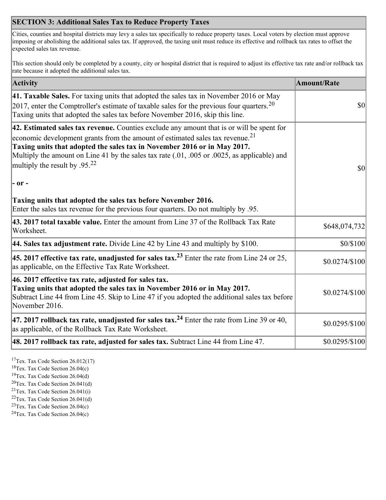## **SECTION 3: Additional Sales Tax to Reduce Property Taxes**

Cities, counties and hospital districts may levy a sales tax specifically to reduce property taxes. Local voters by election must approve imposing or abolishing the additional sales tax. If approved, the taxing unit must reduce its effective and rollback tax rates to offset the expected sales tax revenue.

This section should only be completed by a county, city or hospital district that is required to adjust its effective tax rate and/or rollback tax rate because it adopted the additional sales tax.

| <b>Activity</b>                                                                                                                                                                                                                                                                                                                                                                                                 | <b>Amount/Rate</b>                  |
|-----------------------------------------------------------------------------------------------------------------------------------------------------------------------------------------------------------------------------------------------------------------------------------------------------------------------------------------------------------------------------------------------------------------|-------------------------------------|
| 41. Taxable Sales. For taxing units that adopted the sales tax in November 2016 or May<br>$\vert$ 2017, enter the Comptroller's estimate of taxable sales for the previous four quarters. <sup>20</sup><br>Taxing units that adopted the sales tax before November 2016, skip this line.                                                                                                                        | $\vert \mathbf{S} \mathbf{O} \vert$ |
| 42. Estimated sales tax revenue. Counties exclude any amount that is or will be spent for<br>economic development grants from the amount of estimated sales tax revenue. <sup>21</sup><br>Taxing units that adopted the sales tax in November 2016 or in May 2017.<br>Multiply the amount on Line 41 by the sales tax rate (.01, .005 or .0025, as applicable) and<br>multiply the result by .95. <sup>22</sup> | \$0                                 |
| $ -$ or $-$                                                                                                                                                                                                                                                                                                                                                                                                     |                                     |
| Taxing units that adopted the sales tax before November 2016.<br>Enter the sales tax revenue for the previous four quarters. Do not multiply by .95.                                                                                                                                                                                                                                                            |                                     |
| 43. 2017 total taxable value. Enter the amount from Line 37 of the Rollback Tax Rate<br>Worksheet.                                                                                                                                                                                                                                                                                                              | \$648,074,732                       |
| 44. Sales tax adjustment rate. Divide Line 42 by Line 43 and multiply by \$100.                                                                                                                                                                                                                                                                                                                                 | \$0/\$100                           |
| 45. 2017 effective tax rate, unadjusted for sales tax. <sup>23</sup> Enter the rate from Line 24 or 25,<br>as applicable, on the Effective Tax Rate Worksheet.                                                                                                                                                                                                                                                  | \$0.0274/\$100                      |
| 46. 2017 effective tax rate, adjusted for sales tax.<br>Taxing units that adopted the sales tax in November 2016 or in May 2017.<br>Subtract Line 44 from Line 45. Skip to Line 47 if you adopted the additional sales tax before<br>November 2016.                                                                                                                                                             | \$0.0274/\$100                      |
| 47. 2017 rollback tax rate, unadjusted for sales tax. <sup>24</sup> Enter the rate from Line 39 or 40,<br>as applicable, of the Rollback Tax Rate Worksheet.                                                                                                                                                                                                                                                    | \$0.0295/\$100                      |
| $ 48.2017$ rollback tax rate, adjusted for sales tax. Subtract Line 44 from Line 47.                                                                                                                                                                                                                                                                                                                            | \$0.0295/\$100                      |

<sup>17</sup>Tex. Tax Code Section 26.012(17)

<sup>18</sup>Tex. Tax Code Section 26.04(c)

<sup>19</sup>Tex. Tax Code Section 26.04(d)

<sup>20</sup>Tex. Tax Code Section 26.041(d)

- $21$ Tex. Tax Code Section 26.041(i)
- <sup>22</sup>Tex. Tax Code Section 26.041(d)
- <sup>23</sup>Tex. Tax Code Section  $26.04(c)$

<sup>24</sup>Tex. Tax Code Section  $26.04(c)$